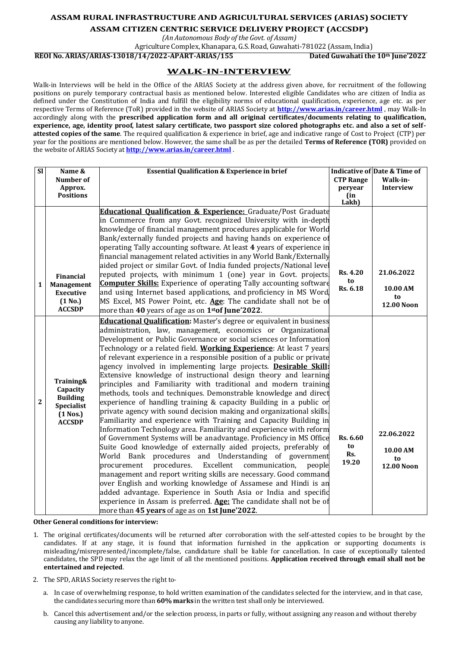## **ASSAM RURAL INFRASTRUCTURE AND AGRICULTURAL SERVICES (ARIAS) SOCIETY**

**ASSAM CITIZEN CENTRIC SERVICE DELIVERY PROJECT (ACCSDP)**

*(An Autonomous Body of the Govt. of Assam)*

Agriculture Complex, Khanapara, G.S. Road, Guwahati-781022 (Assam, India)

**REOI No. ARIAS/ARIAS-13018/14/2022-APART-ARIAS/155 Dated Guwahati the 10th June'2022**

## **WALK-IN-INTERVIEW**

Walk-in Interviews will be held in the Office of the ARIAS Society at the address given above, for recruitment of the following positions on purely temporary contractual basis as mentioned below. Interested eligible Candidates who are citizen of India as defined under the Constitution of India and fulfill the eligibility norms of educational qualification, experience, age etc. as per respective Terms of Reference (ToR) provided in the website of ARIAS Society at **<http://www.arias.in/career.html>** , may Walk-In accordingly along with the **prescribed application form and all original certificates/documents relating to qualification, experience, age, identity proof, latest salary certificate, two passport size colored photographs etc. and also a set of selfattested copies of the same**. The required qualification & experience in brief, age and indicative range of Cost to Project (CTP) per year for the positions are mentioned below. However, the same shall be as per the detailed **Terms of Reference (TOR)** provided on the website of ARIAS Society at **<http://www.arias.in/career.html>** .

| $\overline{\text{SI}}$ | Name &                               | <b>Essential Qualification &amp; Experience in brief</b>                                                                                    |                  | <b>Indicative of Date &amp; Time of</b> |
|------------------------|--------------------------------------|---------------------------------------------------------------------------------------------------------------------------------------------|------------------|-----------------------------------------|
|                        | Number of                            |                                                                                                                                             | <b>CTP Range</b> | Walk-in-                                |
|                        | Approx.<br><b>Positions</b>          |                                                                                                                                             | peryear<br>(in   | <b>Interview</b>                        |
|                        |                                      |                                                                                                                                             | Lakh)            |                                         |
|                        |                                      | Educational Qualification & Experience: Graduate/Post Graduate                                                                              |                  |                                         |
|                        |                                      | in Commerce from any Govt. recognized University with in-depth                                                                              |                  |                                         |
|                        |                                      | knowledge of financial management procedures applicable for World                                                                           |                  |                                         |
|                        |                                      | Bank/externally funded projects and having hands on experience of                                                                           |                  |                                         |
|                        |                                      | operating Tally accounting software. At least 4 years of experience in                                                                      |                  |                                         |
|                        |                                      | financial management related activities in any World Bank/Externally                                                                        |                  |                                         |
|                        |                                      | aided project or similar Govt. of India funded projects/National level                                                                      | <b>Rs. 4.20</b>  | 21.06.2022                              |
|                        | Financial                            | reputed projects, with minimum 1 (one) year in Govt. projects                                                                               | to               |                                         |
| $\mathbf{1}$           | <b>Management</b>                    | <b>Computer Skills:</b> Experience of operating Tally accounting software                                                                   | Rs. 6.18         | 10.00 AM                                |
|                        | <b>Executive</b><br>(1 No.)          | and using Internet based applications, and proficiency in MS Word<br>MS Excel, MS Power Point, etc. Age: The candidate shall not be of      |                  | to                                      |
|                        | <b>ACCSDP</b>                        | more than 40 years of age as on 1 <sup>st</sup> of June'2022.                                                                               |                  | <b>12.00 Noon</b>                       |
|                        |                                      |                                                                                                                                             |                  |                                         |
|                        |                                      | <b>Educational Qualification:</b> Master's degree or equivalent in business<br>administration, law, management, economics or Organizational |                  |                                         |
|                        |                                      | Development or Public Governance or social sciences or Information                                                                          |                  |                                         |
|                        |                                      | Technology or a related field. Working Experience: At least 7 years                                                                         |                  |                                         |
|                        |                                      | of relevant experience in a responsible position of a public or private                                                                     |                  |                                         |
|                        |                                      | agency involved in implementing large projects. Desirable Skill:                                                                            |                  |                                         |
|                        |                                      | Extensive knowledge of instructional design theory and learning                                                                             |                  |                                         |
|                        | Training&                            | principles and Familiarity with traditional and modern training                                                                             |                  |                                         |
|                        | Capacity                             | methods, tools and techniques. Demonstrable knowledge and direct                                                                            |                  |                                         |
| $\overline{2}$         | <b>Building</b><br><b>Specialist</b> | experience of handling training & capacity Building in a public or                                                                          |                  |                                         |
|                        | $(1$ Nos.)                           | private agency with sound decision making and organizational skills.                                                                        |                  |                                         |
|                        | <b>ACCSDP</b>                        | Familiarity and experience with Training and Capacity Building in                                                                           |                  |                                         |
|                        |                                      | Information Technology area. Familiarity and experience with reform                                                                         |                  | 22.06.2022                              |
|                        |                                      | of Government Systems will be anadvantage. Proficiency in MS Office                                                                         | Rs. 6.60         |                                         |
|                        |                                      | Suite Good knowledge of externally aided projects, preferably of                                                                            | to<br>Rs.        | 10.00 AM                                |
|                        |                                      | World Bank procedures and Understanding of government                                                                                       | 19.20            | to                                      |
|                        |                                      | procedures.<br>Excellent<br>communication,<br>procurement<br>people                                                                         |                  | <b>12.00 Noon</b>                       |
|                        |                                      | management and report writing skills are necessary. Good command<br>over English and working knowledge of Assamese and Hindi is an          |                  |                                         |
|                        |                                      | added advantage. Experience in South Asia or India and specific                                                                             |                  |                                         |
|                        |                                      | experience in Assam is preferred. Age: The candidate shall not be of                                                                        |                  |                                         |
|                        |                                      | more than 45 years of age as on 1st June'2022.                                                                                              |                  |                                         |

**Other General conditions for interview:**

- 1. The original certificates/documents will be returned after corroboration with the self-attested copies to be brought by the candidates. If at any stage, it is found that information furnished in the application or supporting documents is misleading/misrepresented/incomplete/false, candidature shall be liable for cancellation. In case of exceptionally talented candidates, the SPD may relax the age limit of all the mentioned positions. **Application received through email shall not be entertained and rejected**.
- 2. The SPD, ARIAS Society reserves the right to
	- a. In case of overwhelming response, to hold written examination of the candidates selected for the interview, and in that case, the candidates securing more than **60%marks** in the written test shall only be interviewed.
	- b. Cancel this advertisement and/or the selection process, in parts or fully, without assigning any reason and without thereby causing any liability toanyone.